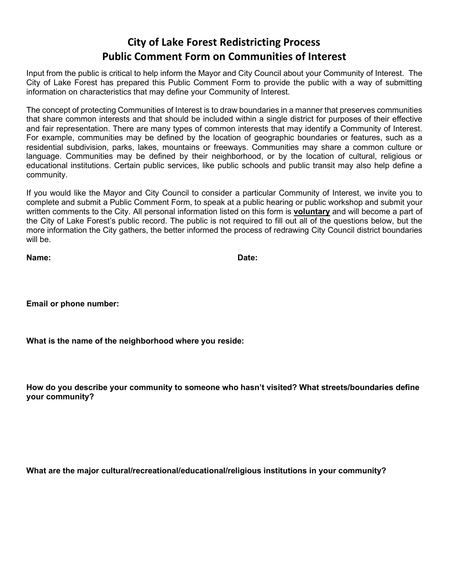## **City of Lake Forest Redistricting Process Public Comment Form on Communities of Interest**

Input from the public is critical to help inform the Mayor and City Council about your Community of Interest. The City of Lake Forest has prepared this Public Comment Form to provide the public with a way of submitting information on characteristics that may define your Community of Interest.

The concept of protecting Communities of Interest is to draw boundaries in a manner that preserves communities that share common interests and that should be included within a single district for purposes of their effective and fair representation. There are many types of common interests that may identify a Community of Interest. For example, communities may be defined by the location of geographic boundaries or features, such as a residential subdivision, parks, lakes, mountains or freeways. Communities may share a common culture or language. Communities may be defined by their neighborhood, or by the location of cultural, religious or educational institutions. Certain public services, like public schools and public transit may also help define a community.

If you would like the Mayor and City Council to consider a particular Community of Interest, we invite you to complete and submit a Public Comment Form, to speak at a public hearing or public workshop and submit your written comments to the City. All personal information listed on this form is **voluntary** and will become a part of the City of Lake Forest's public record. The public is not required to fill out all of the questions below, but the more information the City gathers, the better informed the process of redrawing City Council district boundaries will be.

| Name: | Date: |
|-------|-------|
|       |       |

**Email or phone number:**

**What is the name of the neighborhood where you reside:**

**How do you describe your community to someone who hasn't visited? What streets/boundaries define your community?**

**What are the major cultural/recreational/educational/religious institutions in your community?**